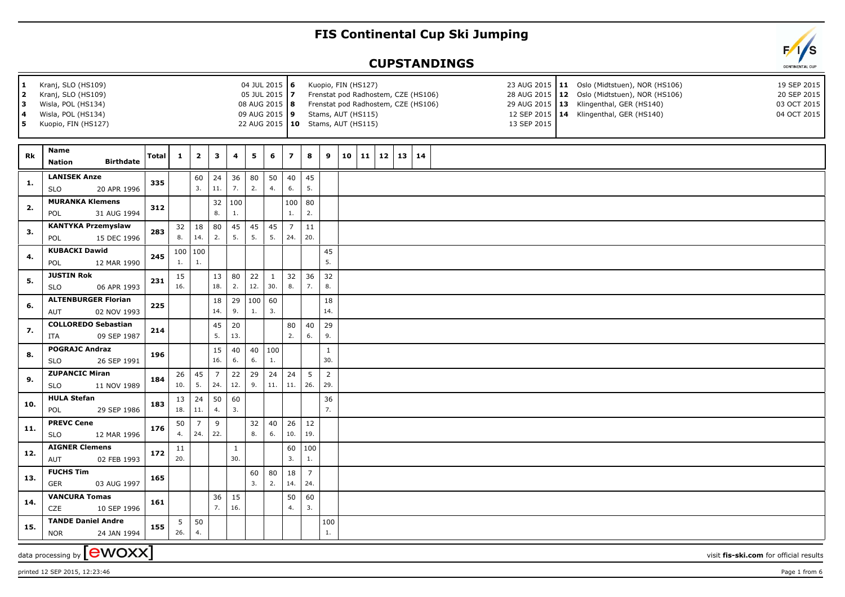## **FIS Continental Cup Ski Jumping**

## **CUPSTANDINGS**





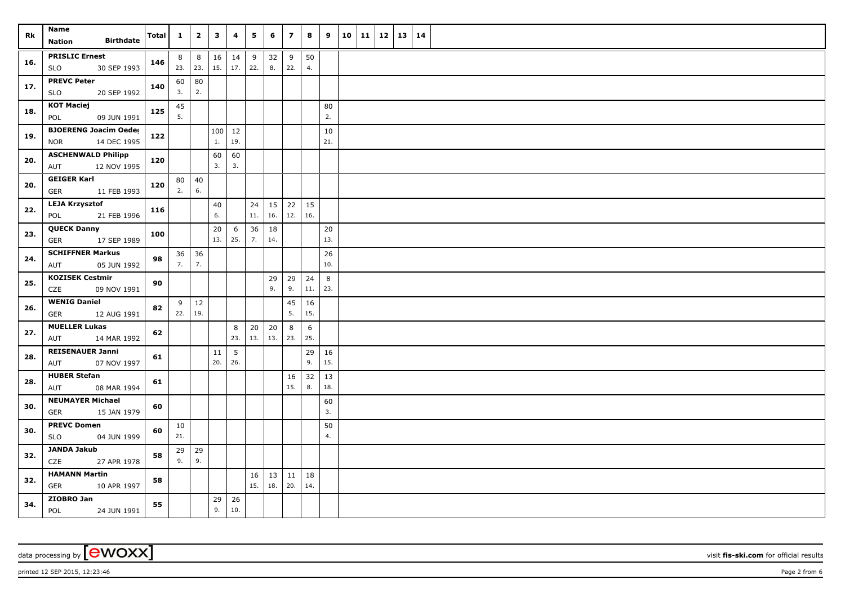| Rk  | Name                                                      | <b>Total</b> | $\mathbf{1}$ | $\overline{2}$     | $\mathbf{3}$ | 4               | 5         | 6         | $\overline{\phantom{a}}$ | 8         | 9         | 10 | 11 | 12 | 13   14 |  |
|-----|-----------------------------------------------------------|--------------|--------------|--------------------|--------------|-----------------|-----------|-----------|--------------------------|-----------|-----------|----|----|----|---------|--|
|     | <b>Birthdate</b><br><b>Nation</b>                         |              |              |                    |              |                 |           |           |                          |           |           |    |    |    |         |  |
| 16. | <b>PRISLIC Ernest</b><br>30 SEP 1993<br>SLO               | 146          | 8            | 8<br>23. 23.       | 16<br>15.    | 14<br>17.       | 9<br>22.  | 32<br>8.  | 9<br>22.                 | 50<br>4.  |           |    |    |    |         |  |
| 17. | <b>PREVC Peter</b><br>20 SEP 1992<br><b>SLO</b>           | 140          | 60<br>3.     | 80<br>2.           |              |                 |           |           |                          |           |           |    |    |    |         |  |
| 18. | <b>KOT Maciej</b><br>09 JUN 1991<br>POL                   | 125          | 45<br>5.     |                    |              |                 |           |           |                          |           | 80<br>2.  |    |    |    |         |  |
| 19. | <b>BJOERENG Joacim Oeder</b><br><b>NOR</b><br>14 DEC 1995 | 122          |              |                    | 1.           | 100   12<br>19. |           |           |                          |           | 10<br>21. |    |    |    |         |  |
| 20. | <b>ASCHENWALD Philipp</b><br>12 NOV 1995<br>AUT           | 120          |              |                    | 60<br>3.     | 60<br>3.        |           |           |                          |           |           |    |    |    |         |  |
| 20. | <b>GEIGER Karl</b><br><b>GER</b><br>11 FEB 1993           | 120          | 80<br>2.     | 40<br>6.           |              |                 |           |           |                          |           |           |    |    |    |         |  |
| 22. | <b>LEJA Krzysztof</b><br>21 FEB 1996<br>POL               | 116          |              |                    | $40\,$<br>6. |                 | 24<br>11. | 15<br>16. | 22<br>12.                | 15<br>16. |           |    |    |    |         |  |
| 23. | <b>QUECK Danny</b><br>GER<br>17 SEP 1989                  | 100          |              |                    | 20<br>13.    | 6<br>25.        | 36<br>7.  | 18<br>14. |                          |           | 20<br>13. |    |    |    |         |  |
| 24. | <b>SCHIFFNER Markus</b><br>05 JUN 1992<br>AUT             | 98           | 36<br>7.     | 36<br>7.           |              |                 |           |           |                          |           | 26<br>10. |    |    |    |         |  |
| 25. | <b>KOZISEK Cestmir</b><br>CZE<br>09 NOV 1991              | 90           |              |                    |              |                 |           | 29<br>9.  | 29<br>9.                 | 24<br>11. | 8<br>23.  |    |    |    |         |  |
| 26. | <b>WENIG Daniel</b><br><b>GER</b><br>12 AUG 1991          | 82           | 9<br>22.     | 12<br>19.          |              |                 |           |           | 45<br>5.                 | 16<br>15. |           |    |    |    |         |  |
| 27. | <b>MUELLER Lukas</b><br>AUT<br>14 MAR 1992                | 62           |              |                    |              | 8<br>23.        | 20<br>13. | 20<br>13. | 8<br>23.                 | 6<br>25.  |           |    |    |    |         |  |
| 28. | <b>REISENAUER Janni</b><br>07 NOV 1997<br>AUT             | 61           |              |                    | 11<br>20.    | 5<br>26.        |           |           |                          | 29<br>9.  | 16<br>15. |    |    |    |         |  |
| 28. | <b>HUBER Stefan</b><br>08 MAR 1994<br>AUT                 | 61           |              |                    |              |                 |           |           | 16<br>15.                | 32<br>8.  | 13<br>18. |    |    |    |         |  |
| 30. | <b>NEUMAYER Michael</b><br><b>GER</b><br>15 JAN 1979      | 60           |              |                    |              |                 |           |           |                          |           | 60<br>3.  |    |    |    |         |  |
| 30. | <b>PREVC Domen</b><br><b>SLO</b><br>04 JUN 1999           | 60           | 10<br>21.    |                    |              |                 |           |           |                          |           | 50<br>4.  |    |    |    |         |  |
| 32. | <b>JANDA Jakub</b><br>CZE<br>27 APR 1978                  | 58           | 9.           | $29 \mid 29$<br>9. |              |                 |           |           |                          |           |           |    |    |    |         |  |
| 32. | <b>HAMANN Martin</b><br><b>GER</b><br>10 APR 1997         | 58           |              |                    |              |                 | 16<br>15. | 13<br>18. | 11<br>20.                | 18<br>14. |           |    |    |    |         |  |
| 34. | ZIOBRO Jan<br>POL<br>24 JUN 1991                          | 55           |              |                    | 29<br>9.     | 26<br>10.       |           |           |                          |           |           |    |    |    |         |  |

data processing by **CWOXX** visit **fis-ski.com** for official results

printed 12 SEP 2015, 12:23:46 Page 2 from 6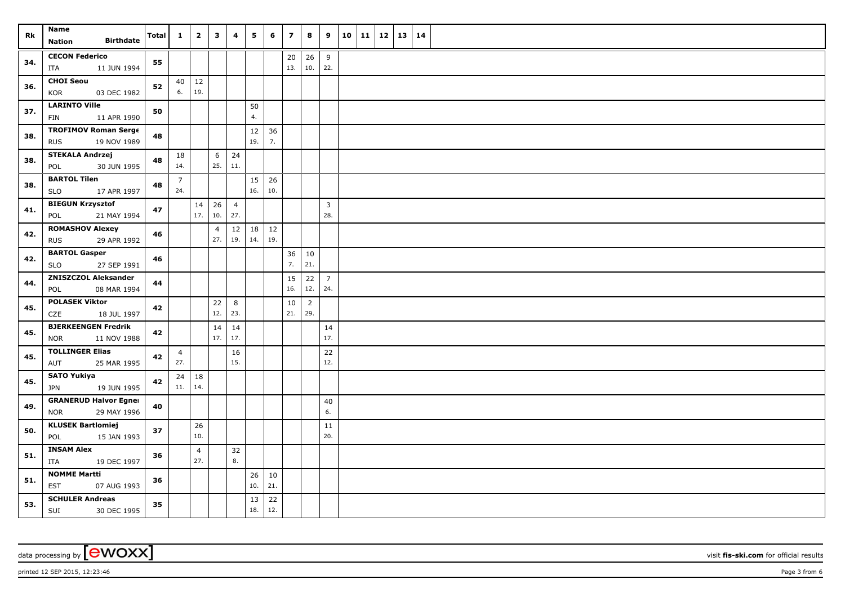| Rk  | Name                                                     | Total | $\mathbf{1}$          | $\overline{2}$      | $\mathbf{3}$   | 4                     | 5         | 6             | $\overline{\mathbf{z}}$ | 8                        | 9                   | 10 | 11   12 | 13 | 14 |  |
|-----|----------------------------------------------------------|-------|-----------------------|---------------------|----------------|-----------------------|-----------|---------------|-------------------------|--------------------------|---------------------|----|---------|----|----|--|
|     | <b>Birthdate</b><br><b>Nation</b>                        |       |                       |                     |                |                       |           |               |                         |                          |                     |    |         |    |    |  |
| 34. | <b>CECON Federico</b><br>11 JUN 1994<br>ITA              | 55    |                       |                     |                |                       |           |               | 20<br>13.               | $26 \mid 9$<br>10.       | 22.                 |    |         |    |    |  |
| 36. | <b>CHOI Seou</b><br>KOR<br>03 DEC 1982                   | 52    | 6.                    | $40 \mid 12$<br>19. |                |                       |           |               |                         |                          |                     |    |         |    |    |  |
| 37. | <b>LARINTO Ville</b><br>FIN<br>11 APR 1990               | 50    |                       |                     |                |                       | 50<br>4.  |               |                         |                          |                     |    |         |    |    |  |
| 38. | <b>TROFIMOV Roman Serge</b><br><b>RUS</b><br>19 NOV 1989 | 48    |                       |                     |                |                       | 12<br>19. | 36<br>7.      |                         |                          |                     |    |         |    |    |  |
|     | <b>STEKALA Andrzej</b>                                   |       |                       |                     |                | 24                    |           |               |                         |                          |                     |    |         |    |    |  |
| 38. | POL<br>30 JUN 1995                                       | 48    | 18<br>14.             |                     | 6<br>25.       | 11.                   |           |               |                         |                          |                     |    |         |    |    |  |
| 38. | <b>BARTOL Tilen</b><br>17 APR 1997<br><b>SLO</b>         | 48    | $\overline{7}$<br>24. |                     |                |                       | 15<br>16. | 26<br>10.     |                         |                          |                     |    |         |    |    |  |
| 41. | <b>BIEGUN Krzysztof</b><br>POL<br>21 MAY 1994            | 47    |                       | 14<br>17.           | 26<br>10.      | $\overline{4}$<br>27. |           |               |                         |                          | $\mathbf{3}$<br>28. |    |         |    |    |  |
|     | <b>ROMASHOV Alexey</b>                                   |       |                       |                     | $\overline{4}$ | 12                    | 18        | $12\,$        |                         |                          |                     |    |         |    |    |  |
| 42. | <b>RUS</b><br>29 APR 1992                                | 46    |                       |                     | 27.            | 19.                   | 14.       | 19.           |                         |                          |                     |    |         |    |    |  |
| 42. | <b>BARTOL Gasper</b><br>27 SEP 1991<br><b>SLO</b>        | 46    |                       |                     |                |                       |           |               | 36<br>7.                | 10<br>21.                |                     |    |         |    |    |  |
| 44. | <b>ZNISZCZOL Aleksander</b><br>08 MAR 1994<br>POL        | 44    |                       |                     |                |                       |           |               | 15<br>16.               | $22 \mid 7$<br>12.   24. |                     |    |         |    |    |  |
|     | <b>POLASEK Viktor</b>                                    |       |                       |                     | 22             | 8                     |           |               | 10                      | $\overline{2}$           |                     |    |         |    |    |  |
| 45. | CZE<br>18 JUL 1997                                       | 42    |                       |                     | 12.            | 23.                   |           |               | 21.                     | 29.                      |                     |    |         |    |    |  |
|     | <b>BJERKEENGEN Fredrik</b>                               |       |                       |                     | 14             | 14                    |           |               |                         |                          | 14                  |    |         |    |    |  |
| 45. | <b>NOR</b><br>11 NOV 1988                                | 42    |                       |                     | 17.            | 17.                   |           |               |                         |                          | 17.                 |    |         |    |    |  |
|     | <b>TOLLINGER Elias</b>                                   |       | $\overline{4}$        |                     |                | 16                    |           |               |                         |                          | 22                  |    |         |    |    |  |
| 45. | 25 MAR 1995<br>AUT                                       | 42    | 27.                   |                     |                | 15.                   |           |               |                         |                          | 12.                 |    |         |    |    |  |
|     | <b>SATO Yukiya</b>                                       | 42    | 24                    | 18                  |                |                       |           |               |                         |                          |                     |    |         |    |    |  |
| 45. | 19 JUN 1995<br><b>JPN</b>                                |       | 11.   14.             |                     |                |                       |           |               |                         |                          |                     |    |         |    |    |  |
| 49. | <b>GRANERUD Halvor Egner</b>                             | 40    |                       |                     |                |                       |           |               |                         |                          | 40                  |    |         |    |    |  |
|     | 29 MAY 1996<br><b>NOR</b>                                |       |                       |                     |                |                       |           |               |                         |                          | 6.                  |    |         |    |    |  |
| 50. | <b>KLUSEK Bartlomiej</b>                                 | 37    |                       | 26                  |                |                       |           |               |                         |                          | 11                  |    |         |    |    |  |
|     | POL<br>15 JAN 1993                                       |       |                       | 10.                 |                |                       |           |               |                         |                          | 20.                 |    |         |    |    |  |
| 51. | <b>INSAM Alex</b>                                        | 36    |                       | $\overline{4}$      |                | 32                    |           |               |                         |                          |                     |    |         |    |    |  |
|     | 19 DEC 1997<br>ITA                                       |       |                       | 27.                 |                | 8.                    |           |               |                         |                          |                     |    |         |    |    |  |
| 51. | <b>NOMME Martti</b><br>EST<br>07 AUG 1993                | 36    |                       |                     |                |                       | 26<br>10. | $10\,$<br>21. |                         |                          |                     |    |         |    |    |  |
| 53. | <b>SCHULER Andreas</b><br>SUI<br>30 DEC 1995             | 35    |                       |                     |                |                       | 13<br>18. | 22<br>12.     |                         |                          |                     |    |         |    |    |  |

data processing by **CWOXX** wisit **fis-ski.com** for official results

printed 12 SEP 2015, 12:23:46 **Page 3** from 6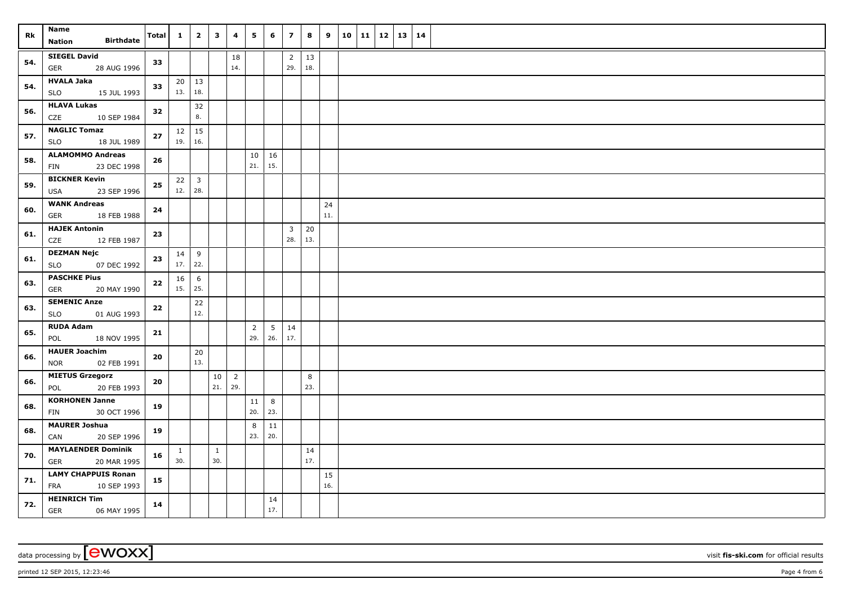| Rk  | Name                                                    | <b>Total</b> | $\mathbf{1}$        | $\overline{2}$      | $\mathbf{3}$        | 4                     | 5                     | 6                      | $\overline{z}$        | 8         | 9         | $10$ 11 12 13 |  | 14 |  |
|-----|---------------------------------------------------------|--------------|---------------------|---------------------|---------------------|-----------------------|-----------------------|------------------------|-----------------------|-----------|-----------|---------------|--|----|--|
|     | <b>Birthdate</b><br><b>Nation</b>                       |              |                     |                     |                     |                       |                       |                        |                       |           |           |               |  |    |  |
| 54. | <b>SIEGEL David</b><br><b>GER</b><br>28 AUG 1996        | 33           |                     |                     |                     | 18<br>14.             |                       |                        | $\overline{2}$<br>29. | 13<br>18. |           |               |  |    |  |
| 54. | <b>HVALA Jaka</b><br><b>SLO</b><br>15 JUL 1993          | 33           | 13.                 | $20 \mid 13$<br>18. |                     |                       |                       |                        |                       |           |           |               |  |    |  |
| 56. | <b>HLAVA Lukas</b><br>CZE<br>10 SEP 1984                | 32           |                     | 32<br>8.            |                     |                       |                       |                        |                       |           |           |               |  |    |  |
| 57. | <b>NAGLIC Tomaz</b><br>SLO<br>18 JUL 1989               | 27           | $12 \mid 15$<br>19. | 16.                 |                     |                       |                       |                        |                       |           |           |               |  |    |  |
| 58. | <b>ALAMOMMO Andreas</b><br>23 DEC 1998<br>FIN           | 26           |                     |                     |                     |                       | 10<br>21.             | 16<br>15.              |                       |           |           |               |  |    |  |
| 59. | <b>BICKNER Kevin</b><br>23 SEP 1996<br>USA              | ${\bf 25}$   | $22 \mid 3$<br>12.  | 28.                 |                     |                       |                       |                        |                       |           |           |               |  |    |  |
| 60. | <b>WANK Andreas</b><br><b>GER</b><br>18 FEB 1988        | 24           |                     |                     |                     |                       |                       |                        |                       |           | 24<br>11. |               |  |    |  |
| 61. | <b>HAJEK Antonin</b><br>CZE<br>12 FEB 1987              | 23           |                     |                     |                     |                       |                       |                        | $\overline{3}$<br>28. | 20<br>13. |           |               |  |    |  |
| 61. | <b>DEZMAN Nejc</b><br><b>SLO</b><br>07 DEC 1992         | 23           | 14<br>17.           | 9<br>22.            |                     |                       |                       |                        |                       |           |           |               |  |    |  |
| 63. | <b>PASCHKE Pius</b><br>GER<br>20 MAY 1990               | 22           | 16<br>15.           | 6<br>25.            |                     |                       |                       |                        |                       |           |           |               |  |    |  |
| 63. | <b>SEMENIC Anze</b><br><b>SLO</b><br>01 AUG 1993        | 22           |                     | 22<br>12.           |                     |                       |                       |                        |                       |           |           |               |  |    |  |
| 65. | <b>RUDA Adam</b><br>18 NOV 1995<br>POL                  | 21           |                     |                     |                     |                       | $\overline{2}$<br>29. | $5\overline{5}$<br>26. | 14<br>17.             |           |           |               |  |    |  |
| 66. | <b>HAUER Joachim</b><br>02 FEB 1991<br><b>NOR</b>       | 20           |                     | 20<br>13.           |                     |                       |                       |                        |                       |           |           |               |  |    |  |
| 66. | <b>MIETUS Grzegorz</b><br>20 FEB 1993<br>POL            | 20           |                     |                     | 10<br>21.           | $\overline{2}$<br>29. |                       |                        |                       | 8<br>23.  |           |               |  |    |  |
| 68. | <b>KORHONEN Janne</b><br>FIN<br>30 OCT 1996             | 19           |                     |                     |                     |                       | 11<br>20.             | 8<br>23.               |                       |           |           |               |  |    |  |
| 68. | <b>MAURER Joshua</b><br>CAN<br>20 SEP 1996              | 19           |                     |                     |                     |                       | 8<br>23.              | $11\,$<br>20.          |                       |           |           |               |  |    |  |
| 70. | <b>MAYLAENDER Dominik</b><br>20 MAR 1995<br><b>GER</b>  | 16           | $\mathbf{1}$<br>30. |                     | $\mathbf{1}$<br>30. |                       |                       |                        |                       | 14<br>17. |           |               |  |    |  |
| 71. | <b>LAMY CHAPPUIS Ronan</b><br><b>FRA</b><br>10 SEP 1993 | 15           |                     |                     |                     |                       |                       |                        |                       |           | 15<br>16. |               |  |    |  |
| 72. | <b>HEINRICH Tim</b><br>GER<br>06 MAY 1995               | 14           |                     |                     |                     |                       |                       | 14<br>17.              |                       |           |           |               |  |    |  |

data processing by **CWOXX** wisit **fis-ski.com** for official results

printed 12 SEP 2015, 12:23:46 **Page 4** from 6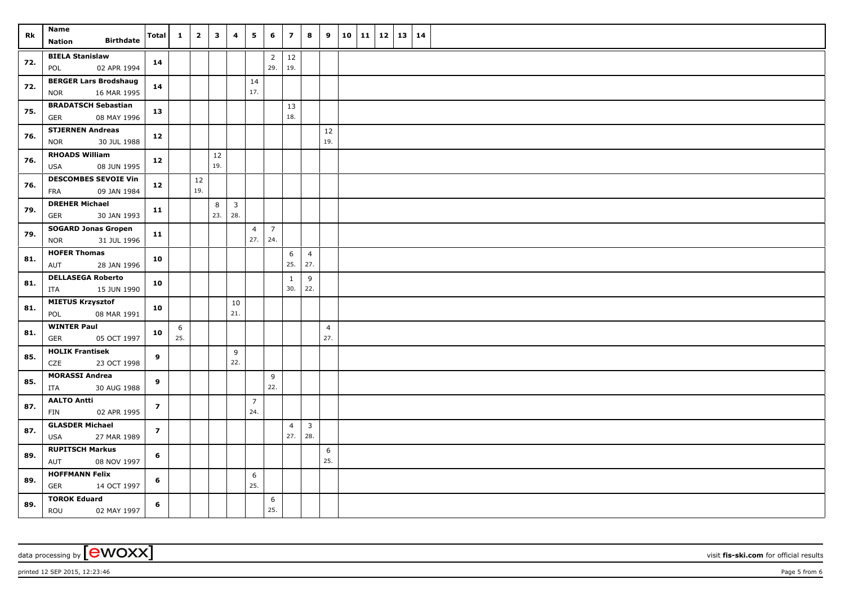| Rk  | <b>Name</b><br><b>Birthdate</b><br><b>Nation</b>          | <b>Total</b>   | $\mathbf{1}$ | $\overline{2}$ | $\overline{\mathbf{3}}$ | 4                     | 5                     | 6                     | $\overline{\mathbf{z}}$ | 8                     | 9                     | 10   11 | 12 | 13   14 |  |
|-----|-----------------------------------------------------------|----------------|--------------|----------------|-------------------------|-----------------------|-----------------------|-----------------------|-------------------------|-----------------------|-----------------------|---------|----|---------|--|
| 72. | <b>BIELA Stanislaw</b><br>02 APR 1994<br>POL              | 14             |              |                |                         |                       |                       | $\overline{2}$<br>29. | $12$<br>19.             |                       |                       |         |    |         |  |
| 72. | <b>BERGER Lars Brodshaug</b><br>16 MAR 1995<br><b>NOR</b> | 14             |              |                |                         |                       | 14<br>17.             |                       |                         |                       |                       |         |    |         |  |
| 75. | <b>BRADATSCH Sebastian</b><br><b>GER</b><br>08 MAY 1996   | 13             |              |                |                         |                       |                       |                       | 13<br>18.               |                       |                       |         |    |         |  |
| 76. | <b>STJERNEN Andreas</b><br><b>NOR</b><br>30 JUL 1988      | 12             |              |                |                         |                       |                       |                       |                         |                       | $12\,$<br>19.         |         |    |         |  |
| 76. | <b>RHOADS William</b><br>08 JUN 1995<br><b>USA</b>        | 12             |              |                | 12<br>19.               |                       |                       |                       |                         |                       |                       |         |    |         |  |
| 76. | <b>DESCOMBES SEVOIE Vin</b><br>09 JAN 1984<br><b>FRA</b>  | 12             |              | 12<br>19.      |                         |                       |                       |                       |                         |                       |                       |         |    |         |  |
| 79. | <b>DREHER Michael</b><br><b>GER</b><br>30 JAN 1993        | 11             |              |                | 8<br>23.                | $\overline{3}$<br>28. |                       |                       |                         |                       |                       |         |    |         |  |
| 79. | <b>SOGARD Jonas Gropen</b><br>31 JUL 1996<br><b>NOR</b>   | 11             |              |                |                         |                       | $\overline{4}$<br>27. | $\overline{7}$<br>24. |                         |                       |                       |         |    |         |  |
| 81. | <b>HOFER Thomas</b><br>28 JAN 1996<br>AUT                 | 10             |              |                |                         |                       |                       |                       | 6<br>25.                | $\overline{4}$<br>27. |                       |         |    |         |  |
| 81. | <b>DELLASEGA Roberto</b><br>ITA<br>15 JUN 1990            | 10             |              |                |                         |                       |                       |                       | $\mathbf{1}$<br>30.     | 9<br>22.              |                       |         |    |         |  |
| 81. | <b>MIETUS Krzysztof</b><br>08 MAR 1991<br>POL             | 10             |              |                |                         | 10<br>21.             |                       |                       |                         |                       |                       |         |    |         |  |
| 81. | <b>WINTER Paul</b><br>05 OCT 1997<br>GER                  | 10             | 6<br>25.     |                |                         |                       |                       |                       |                         |                       | $\overline{4}$<br>27. |         |    |         |  |
| 85. | <b>HOLIK Frantisek</b><br>23 OCT 1998<br>CZE              | 9              |              |                |                         | 9<br>22.              |                       |                       |                         |                       |                       |         |    |         |  |
| 85. | <b>MORASSI Andrea</b><br>30 AUG 1988<br>ITA               | 9              |              |                |                         |                       |                       | 9<br>22.              |                         |                       |                       |         |    |         |  |
| 87. | <b>AALTO Antti</b><br>02 APR 1995<br><b>FIN</b>           | $\overline{z}$ |              |                |                         |                       | $\overline{7}$<br>24. |                       |                         |                       |                       |         |    |         |  |
| 87. | <b>GLASDER Michael</b><br>27 MAR 1989<br><b>USA</b>       | $\overline{z}$ |              |                |                         |                       |                       |                       | $\overline{4}$<br>27.   | $\overline{3}$<br>28. |                       |         |    |         |  |
| 89. | <b>RUPITSCH Markus</b><br>AUT<br>08 NOV 1997              | 6              |              |                |                         |                       |                       |                       |                         |                       | 6<br>25.              |         |    |         |  |
| 89. | <b>HOFFMANN Felix</b><br><b>GER</b><br>14 OCT 1997        | 6              |              |                |                         |                       | 6<br>25.              |                       |                         |                       |                       |         |    |         |  |
| 89. | <b>TOROK Eduard</b><br>ROU<br>02 MAY 1997                 | 6              |              |                |                         |                       |                       | 6<br>25.              |                         |                       |                       |         |    |         |  |

data processing by **CWOXX** visit **fis-ski.com** for official results

printed 12 SEP 2015, 12:23:46 **Page 5** from 6